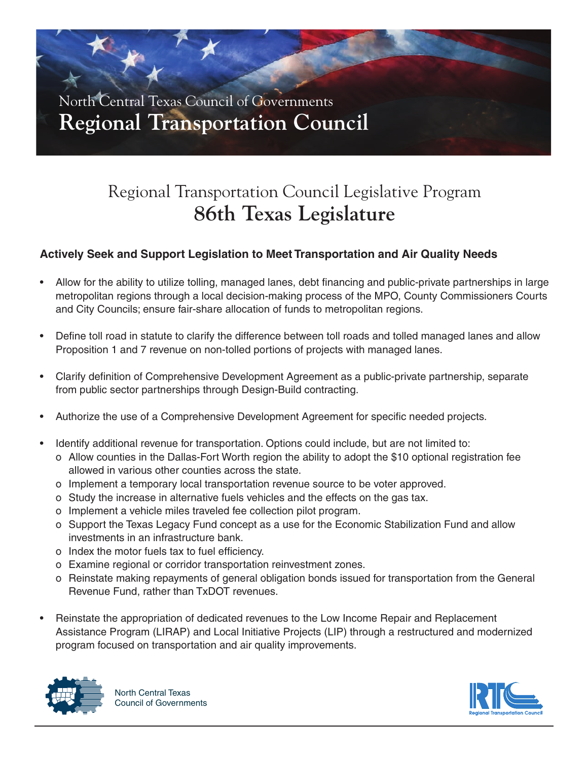

# Regional Transportation Council Legislative Program **86th Texas Legislature**

### **Actively Seek and Support Legislation to Meet Transportation and Air Quality Needs**

- Allow for the ability to utilize tolling, managed lanes, debt financing and public-private partnerships in large metropolitan regions through a local decision-making process of the MPO, County Commissioners Courts and City Councils; ensure fair-share allocation of funds to metropolitan regions.
- Define toll road in statute to clarify the difference between toll roads and tolled managed lanes and allow Proposition 1 and 7 revenue on non-tolled portions of projects with managed lanes.
- Clarify definition of Comprehensive Development Agreement as a public-private partnership, separate from public sector partnerships through Design-Build contracting.
- Authorize the use of a Comprehensive Development Agreement for specific needed projects.
- Identify additional revenue for transportation. Options could include, but are not limited to:
	- o Allow counties in the Dallas-Fort Worth region the ability to adopt the \$10 optional registration fee allowed in various other counties across the state.
	- o Implement a temporary local transportation revenue source to be voter approved.
	- o Study the increase in alternative fuels vehicles and the effects on the gas tax.
	- o Implement a vehicle miles traveled fee collection pilot program.
	- o Support the Texas Legacy Fund concept as a use for the Economic Stabilization Fund and allow investments in an infrastructure bank.
	- o Index the motor fuels tax to fuel efficiency.
	- o Examine regional or corridor transportation reinvestment zones.
	- o Reinstate making repayments of general obligation bonds issued for transportation from the General Revenue Fund, rather than TxDOT revenues.
- Reinstate the appropriation of dedicated revenues to the Low Income Repair and Replacement Assistance Program (LIRAP) and Local Initiative Projects (LIP) through a restructured and modernized program focused on transportation and air quality improvements.



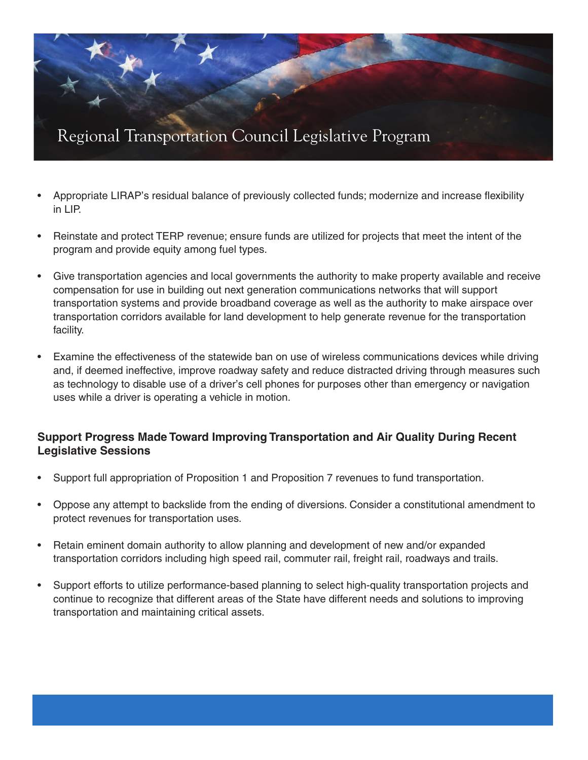

- Appropriate LIRAP's residual balance of previously collected funds; modernize and increase flexibility in LIP.
- Reinstate and protect TERP revenue; ensure funds are utilized for projects that meet the intent of the program and provide equity among fuel types.
- Give transportation agencies and local governments the authority to make property available and receive compensation for use in building out next generation communications networks that will support transportation systems and provide broadband coverage as well as the authority to make airspace over transportation corridors available for land development to help generate revenue for the transportation facility.
- Examine the effectiveness of the statewide ban on use of wireless communications devices while driving and, if deemed ineffective, improve roadway safety and reduce distracted driving through measures such as technology to disable use of a driver's cell phones for purposes other than emergency or navigation uses while a driver is operating a vehicle in motion.

#### **Support Progress Made Toward Improving Transportation and Air Quality During Recent Legislative Sessions**

- Support full appropriation of Proposition 1 and Proposition 7 revenues to fund transportation.
- Oppose any attempt to backslide from the ending of diversions. Consider a constitutional amendment to protect revenues for transportation uses.
- Retain eminent domain authority to allow planning and development of new and/or expanded transportation corridors including high speed rail, commuter rail, freight rail, roadways and trails.
- Support efforts to utilize performance-based planning to select high-quality transportation projects and continue to recognize that different areas of the State have different needs and solutions to improving transportation and maintaining critical assets.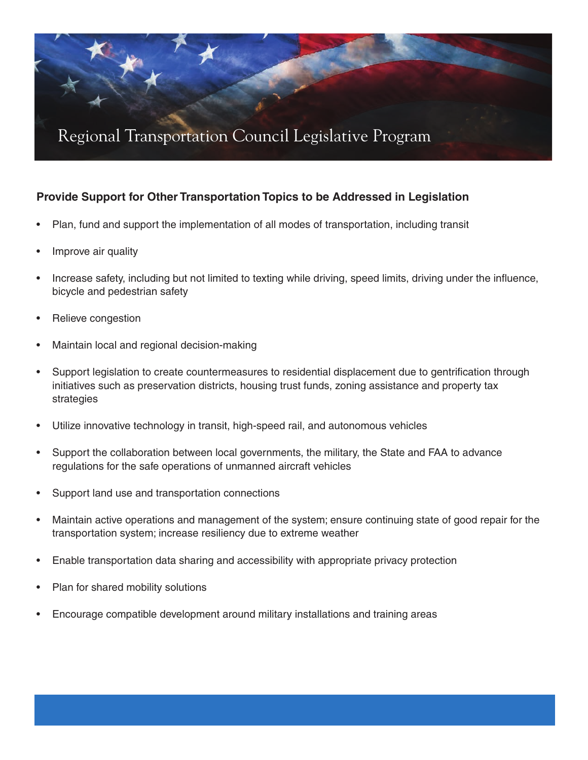

### **Provide Support for Other Transportation Topics to be Addressed in Legislation**

- Plan, fund and support the implementation of all modes of transportation, including transit
- Improve air quality
- Increase safety, including but not limited to texting while driving, speed limits, driving under the influence, bicycle and pedestrian safety
- Relieve congestion
- Maintain local and regional decision-making
- Support legislation to create countermeasures to residential displacement due to gentrification through initiatives such as preservation districts, housing trust funds, zoning assistance and property tax strategies
- Utilize innovative technology in transit, high-speed rail, and autonomous vehicles
- Support the collaboration between local governments, the military, the State and FAA to advance regulations for the safe operations of unmanned aircraft vehicles
- Support land use and transportation connections
- Maintain active operations and management of the system; ensure continuing state of good repair for the transportation system; increase resiliency due to extreme weather
- Enable transportation data sharing and accessibility with appropriate privacy protection
- Plan for shared mobility solutions
- Encourage compatible development around military installations and training areas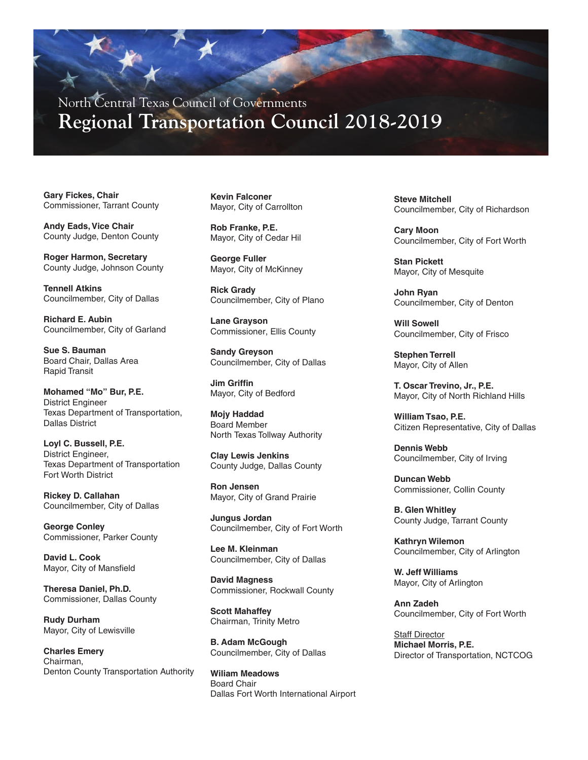North Central Texas Council of Governments **Regional Transportation Council 2018-2019**

**Gary Fickes, Chair** Commissioner, Tarrant County

**Andy Eads, Vice Chair** County Judge, Denton County

**Roger Harmon, Secretary** County Judge, Johnson County

**Tennell Atkins** Councilmember, City of Dallas

**Richard E. Aubin** Councilmember, City of Garland

**Sue S. Bauman** Board Chair, Dallas Area Rapid Transit

**Mohamed "Mo" Bur, P.E.** District Engineer Texas Department of Transportation, Dallas District

**Loyl C. Bussell, P.E.** District Engineer, Texas Department of Transportation Fort Worth District

**Rickey D. Callahan** Councilmember, City of Dallas

**George Conley** Commissioner, Parker County

**David L. Cook** Mayor, City of Mansfield

**Theresa Daniel, Ph.D.** Commissioner, Dallas County

**Rudy Durham** Mayor, City of Lewisville

**Charles Emery** Chairman, Denton County Transportation Authority

**Kevin Falconer** Mayor, City of Carrollton

**Rob Franke, P.E.** Mayor, City of Cedar Hil

**George Fuller** Mayor, City of McKinney

**Rick Grady** Councilmember, City of Plano

**Lane Grayson** Commissioner, Ellis County

**Sandy Greyson** Councilmember, City of Dallas

**Jim Griffin** Mayor, City of Bedford

**Mojy Haddad** Board Member North Texas Tollway Authority

**Clay Lewis Jenkins** County Judge, Dallas County

**Ron Jensen** Mayor, City of Grand Prairie

**Jungus Jordan** Councilmember, City of Fort Worth

**Lee M. Kleinman** Councilmember, City of Dallas

**David Magness** Commissioner, Rockwall County

**Scott Mahaffey** Chairman, Trinity Metro

**B. Adam McGough** Councilmember, City of Dallas

**Wiliam Meadows** Board Chair Dallas Fort Worth International Airport **Steve Mitchell** Councilmember, City of Richardson

**Cary Moon** Councilmember, City of Fort Worth

**Stan Pickett** Mayor, City of Mesquite

**John Ryan** Councilmember, City of Denton

**Will Sowell** Councilmember, City of Frisco

**Stephen Terrell** Mayor, City of Allen

**T. Oscar Trevino, Jr., P.E.** Mayor, City of North Richland Hills

**William Tsao, P.E.** Citizen Representative, City of Dallas

**Dennis Webb** Councilmember, City of Irving

**Duncan Webb** Commissioner, Collin County

**B. Glen Whitley** County Judge, Tarrant County

**Kathryn Wilemon** Councilmember, City of Arlington

**W. Jeff Williams** Mayor, City of Arlington

**Ann Zadeh** Councilmember, City of Fort Worth

Staff Director **Michael Morris, P.E.** Director of Transportation, NCTCOG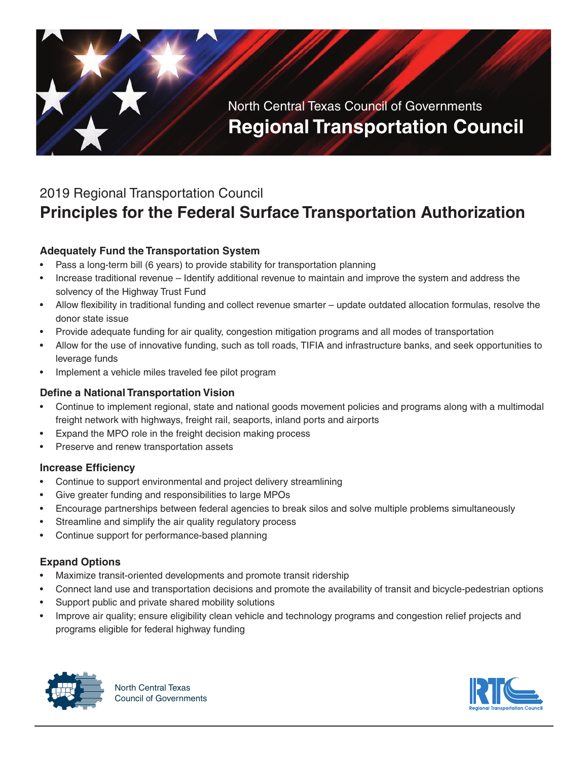

## 2019 Regional Transportation Council

# **Principles for the Federal Surface Transportation Authorization**

### **Adequately Fund the Transportation System**

- Pass a long-term bill (6 years) to provide stability for transportation planning
- Increase traditional revenue Identify additional revenue to maintain and improve the system and address the solvency of the Highway Trust Fund
- Allow flexibility in traditional funding and collect revenue smarter update outdated allocation formulas, resolve the donor state issue
- Provide adequate funding for air quality, congestion mitigation programs and all modes of transportation
- Allow for the use of innovative funding, such as toll roads, TIFIA and infrastructure banks, and seek opportunities to leverage funds
- Implement a vehicle miles traveled fee pilot program

#### **Define a National Transportation Vision**

- Continue to implement regional, state and national goods movement policies and programs along with a multimodal freight network with highways, freight rail, seaports, inland ports and airports
- Expand the MPO role in the freight decision making process
- Preserve and renew transportation assets

#### **Increase Efficiency**

- Continue to support environmental and project delivery streamlining
- Give greater funding and responsibilities to large MPOs
- Encourage partnerships between federal agencies to break silos and solve multiple problems simultaneously
- Streamline and simplify the air quality regulatory process
- Continue support for performance-based planning

#### **Expand Options**

- Maximize transit-oriented developments and promote transit ridership
- Connect land use and transportation decisions and promote the availability of transit and bicycle-pedestrian options
- Support public and private shared mobility solutions
- Improve air quality; ensure eligibility clean vehicle and technology programs and congestion relief projects and programs eligible for federal highway funding